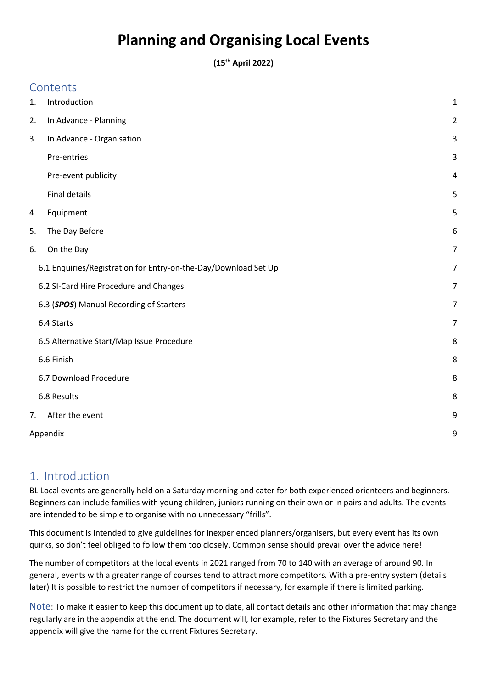# **Planning and Organising Local Events**

**(15th April 2022)**

|    | Contents                                                        |                         |  |
|----|-----------------------------------------------------------------|-------------------------|--|
| 1. | Introduction                                                    | 1                       |  |
| 2. | In Advance - Planning                                           | $\overline{\mathbf{c}}$ |  |
| 3. | In Advance - Organisation                                       | 3                       |  |
|    | Pre-entries                                                     | 3                       |  |
|    | Pre-event publicity                                             | 4                       |  |
|    | <b>Final details</b>                                            | 5                       |  |
| 4. | Equipment                                                       | 5                       |  |
| 5. | The Day Before                                                  | 6                       |  |
| 6. | On the Day                                                      | 7                       |  |
|    | 6.1 Enquiries/Registration for Entry-on-the-Day/Download Set Up | 7                       |  |
|    | 6.2 SI-Card Hire Procedure and Changes                          | 7                       |  |
|    | 6.3 (SPOS) Manual Recording of Starters                         | 7                       |  |
|    | 6.4 Starts                                                      | 7                       |  |
|    | 6.5 Alternative Start/Map Issue Procedure                       | 8                       |  |
|    | 6.6 Finish                                                      | 8                       |  |
|    | 6.7 Download Procedure                                          | 8                       |  |
|    | 6.8 Results                                                     | 8                       |  |
| 7. | After the event                                                 | 9                       |  |
|    | Appendix                                                        |                         |  |

# <span id="page-0-0"></span>1. Introduction

BL Local events are generally held on a Saturday morning and cater for both experienced orienteers and beginners. Beginners can include families with young children, juniors running on their own or in pairs and adults. The events are intended to be simple to organise with no unnecessary "frills".

This document is intended to give guidelines for inexperienced planners/organisers, but every event has its own quirks, so don't feel obliged to follow them too closely. Common sense should prevail over the advice here!

The number of competitors at the local events in 2021 ranged from 70 to 140 with an average of around 90. In general, events with a greater range of courses tend to attract more competitors. With a pre-entry system (details later) It is possible to restrict the number of competitors if necessary, for example if there is limited parking.

Note: To make it easier to keep this document up to date, all contact details and other information that may change regularly are in the appendix at the end. The document will, for example, refer to the Fixtures Secretary and the appendix will give the name for the current Fixtures Secretary.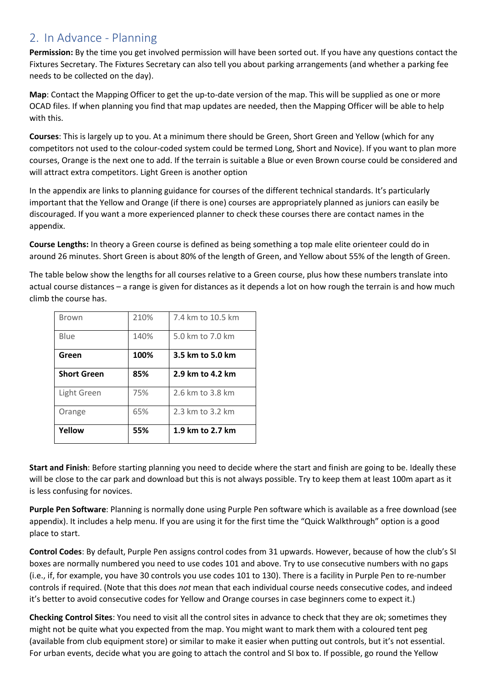# <span id="page-1-0"></span>2. In Advance - Planning

**Permission:** By the time you get involved permission will have been sorted out. If you have any questions contact the Fixtures Secretary. The Fixtures Secretary can also tell you about parking arrangements (and whether a parking fee needs to be collected on the day).

**Map**: Contact the Mapping Officer to get the up-to-date version of the map. This will be supplied as one or more OCAD files. If when planning you find that map updates are needed, then the Mapping Officer will be able to help with this.

**Courses**: This is largely up to you. At a minimum there should be Green, Short Green and Yellow (which for any competitors not used to the colour-coded system could be termed Long, Short and Novice). If you want to plan more courses, Orange is the next one to add. If the terrain is suitable a Blue or even Brown course could be considered and will attract extra competitors. Light Green is another option

In the appendix are links to planning guidance for courses of the different technical standards. It's particularly important that the Yellow and Orange (if there is one) courses are appropriately planned as juniors can easily be discouraged. If you want a more experienced planner to check these courses there are contact names in the appendix.

**Course Lengths:** In theory a Green course is defined as being something a top male elite orienteer could do in around 26 minutes. Short Green is about 80% of the length of Green, and Yellow about 55% of the length of Green.

The table below show the lengths for all courses relative to a Green course, plus how these numbers translate into actual course distances – a range is given for distances as it depends a lot on how rough the terrain is and how much climb the course has.

| Brown              | 210% | 7.4 km to 10.5 km |
|--------------------|------|-------------------|
| Blue               | 140% | 5.0 km to 7.0 km  |
| Green              | 100% | 3.5 km to 5.0 km  |
| <b>Short Green</b> | 85%  | 2.9 km to 4.2 km  |
| Light Green        | 75%  | 2.6 km to 3.8 km  |
| Orange             | 65%  | 2.3 km to 3.2 km  |
| Yellow             | 55%  | 1.9 km to 2.7 km  |

**Start and Finish**: Before starting planning you need to decide where the start and finish are going to be. Ideally these will be close to the car park and download but this is not always possible. Try to keep them at least 100m apart as it is less confusing for novices.

**Purple Pen Software**: Planning is normally done using Purple Pen software which is available as a free download (see appendix). It includes a help menu. If you are using it for the first time the "Quick Walkthrough" option is a good place to start.

**Control Codes**: By default, Purple Pen assigns control codes from 31 upwards. However, because of how the club's SI boxes are normally numbered you need to use codes 101 and above. Try to use consecutive numbers with no gaps (i.e., if, for example, you have 30 controls you use codes 101 to 130). There is a facility in Purple Pen to re-number controls if required. (Note that this does *not* mean that each individual course needs consecutive codes, and indeed it's better to avoid consecutive codes for Yellow and Orange courses in case beginners come to expect it.)

**Checking Control Sites**: You need to visit all the control sites in advance to check that they are ok; sometimes they might not be quite what you expected from the map. You might want to mark them with a coloured tent peg (available from club equipment store) or similar to make it easier when putting out controls, but it's not essential. For urban events, decide what you are going to attach the control and SI box to. If possible, go round the Yellow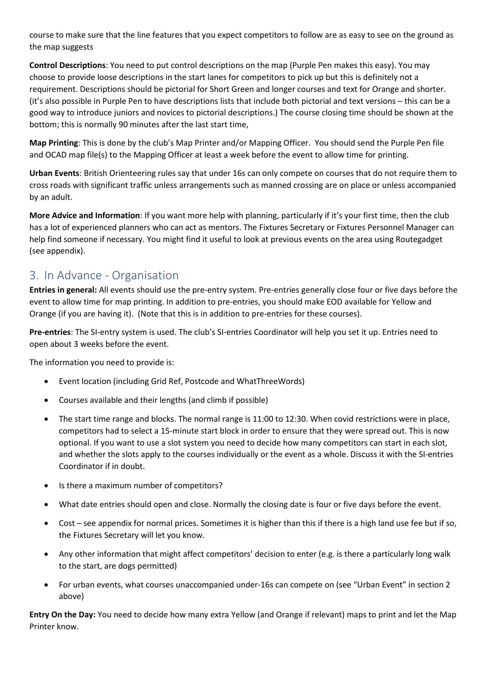course to make sure that the line features that you expect competitors to follow are as easy to see on the ground as the map suggests

**Control Descriptions**: You need to put control descriptions on the map (Purple Pen makes this easy). You may choose to provide loose descriptions in the start lanes for competitors to pick up but this is definitely not a requirement. Descriptions should be pictorial for Short Green and longer courses and text for Orange and shorter. (it's also possible in Purple Pen to have descriptions lists that include both pictorial and text versions – this can be a good way to introduce juniors and novices to pictorial descriptions.) The course closing time should be shown at the bottom; this is normally 90 minutes after the last start time,

**Map Printing**: This is done by the club's Map Printer and/or Mapping Officer. You should send the Purple Pen file and OCAD map file(s) to the Mapping Officer at least a week before the event to allow time for printing.

**Urban Events**: British Orienteering rules say that under 16s can only compete on courses that do not require them to cross roads with significant traffic unless arrangements such as manned crossing are on place or unless accompanied by an adult.

**More Advice and Information**: If you want more help with planning, particularly if it's your first time, then the club has a lot of experienced planners who can act as mentors. The Fixtures Secretary or Fixtures Personnel Manager can help find someone if necessary. You might find it useful to look at previous events on the area using Routegadget (see appendix).

# <span id="page-2-0"></span>3. In Advance - Organisation

**Entries in general:** All events should use the pre-entry system. Pre-entries generally close four or five days before the event to allow time for map printing. In addition to pre-entries, you should make EOD available for Yellow and Orange (if you are having it). (Note that this is in addition to pre-entries for these courses).

<span id="page-2-1"></span>**Pre-entries**: The SI-entry system is used. The club's SI-entries Coordinator will help you set it up. Entries need to open about 3 weeks before the event.

The information you need to provide is:

- Event location (including Grid Ref, Postcode and WhatThreeWords)
- Courses available and their lengths (and climb if possible)
- The start time range and blocks. The normal range is 11:00 to 12:30. When covid restrictions were in place, competitors had to select a 15-minute start block in order to ensure that they were spread out. This is now optional. If you want to use a slot system you need to decide how many competitors can start in each slot, and whether the slots apply to the courses individually or the event as a whole. Discuss it with the SI-entries Coordinator if in doubt.
- Is there a maximum number of competitors?
- What date entries should open and close. Normally the closing date is four or five days before the event.
- Cost see appendix for normal prices. Sometimes it is higher than this if there is a high land use fee but if so, the Fixtures Secretary will let you know.
- Any other information that might affect competitors' decision to enter (e.g. is there a particularly long walk to the start, are dogs permitted)
- For urban events, what courses unaccompanied under-16s can compete on (see "Urban Event" in section 2 above)

**Entry On the Day:** You need to decide how many extra Yellow (and Orange if relevant) maps to print and let the Map Printer know.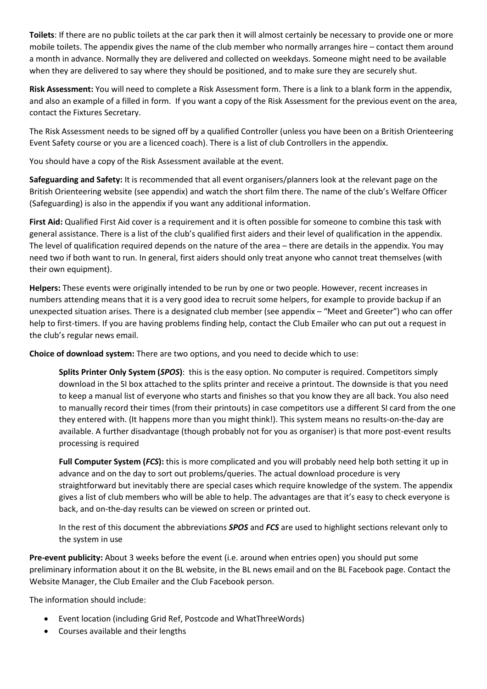**Toilets**: If there are no public toilets at the car park then it will almost certainly be necessary to provide one or more mobile toilets. The appendix gives the name of the club member who normally arranges hire – contact them around a month in advance. Normally they are delivered and collected on weekdays. Someone might need to be available when they are delivered to say where they should be positioned, and to make sure they are securely shut.

**Risk Assessment:** You will need to complete a Risk Assessment form. There is a link to a blank form in the appendix, and also an example of a filled in form. If you want a copy of the Risk Assessment for the previous event on the area, contact the Fixtures Secretary.

The Risk Assessment needs to be signed off by a qualified Controller (unless you have been on a British Orienteering Event Safety course or you are a licenced coach). There is a list of club Controllers in the appendix.

You should have a copy of the Risk Assessment available at the event.

**Safeguarding and Safety:** It is recommended that all event organisers/planners look at the relevant page on the British Orienteering website (see appendix) and watch the short film there. The name of the club's Welfare Officer (Safeguarding) is also in the appendix if you want any additional information.

**First Aid:** Qualified First Aid cover is a requirement and it is often possible for someone to combine this task with general assistance. There is a list of the club's qualified first aiders and their level of qualification in the appendix. The level of qualification required depends on the nature of the area – there are details in the appendix. You may need two if both want to run. In general, first aiders should only treat anyone who cannot treat themselves (with their own equipment).

**Helpers:** These events were originally intended to be run by one or two people. However, recent increases in numbers attending means that it is a very good idea to recruit some helpers, for example to provide backup if an unexpected situation arises. There is a designated club member (see appendix – "Meet and Greeter") who can offer help to first-timers. If you are having problems finding help, contact the Club Emailer who can put out a request in the club's regular news email.

**Choice of download system:** There are two options, and you need to decide which to use:

**Splits Printer Only System (***SPOS***)**: this is the easy option. No computer is required. Competitors simply download in the SI box attached to the splits printer and receive a printout. The downside is that you need to keep a manual list of everyone who starts and finishes so that you know they are all back. You also need to manually record their times (from their printouts) in case competitors use a different SI card from the one they entered with. (It happens more than you might think!). This system means no results-on-the-day are available. A further disadvantage (though probably not for you as organiser) is that more post-event results processing is required

**Full Computer System (***FCS***):** this is more complicated and you will probably need help both setting it up in advance and on the day to sort out problems/queries. The actual download procedure is very straightforward but inevitably there are special cases which require knowledge of the system. The appendix gives a list of club members who will be able to help. The advantages are that it's easy to check everyone is back, and on-the-day results can be viewed on screen or printed out.

In the rest of this document the abbreviations *SPOS* and *FCS* are used to highlight sections relevant only to the system in use

<span id="page-3-0"></span>**Pre-event publicity:** About 3 weeks before the event (i.e. around when entries open) you should put some preliminary information about it on the BL website, in the BL news email and on the BL Facebook page. Contact the Website Manager, the Club Emailer and the Club Facebook person.

The information should include:

- Event location (including Grid Ref, Postcode and WhatThreeWords)
- Courses available and their lengths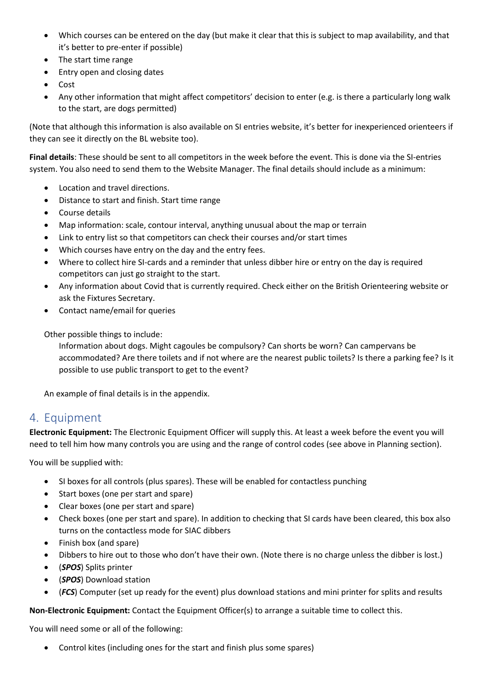- Which courses can be entered on the day (but make it clear that this is subject to map availability, and that it's better to pre-enter if possible)
- The start time range
- Entry open and closing dates
- Cost
- Any other information that might affect competitors' decision to enter (e.g. is there a particularly long walk to the start, are dogs permitted)

(Note that although this information is also available on SI entries website, it's better for inexperienced orienteers if they can see it directly on the BL website too).

<span id="page-4-0"></span>**Final details**: These should be sent to all competitors in the week before the event. This is done via the SI-entries system. You also need to send them to the Website Manager. The final details should include as a minimum:

- Location and travel directions.
- Distance to start and finish. Start time range
- Course details
- Map information: scale, contour interval, anything unusual about the map or terrain
- Link to entry list so that competitors can check their courses and/or start times
- Which courses have entry on the day and the entry fees.
- Where to collect hire SI-cards and a reminder that unless dibber hire or entry on the day is required competitors can just go straight to the start.
- Any information about Covid that is currently required. Check either on the British Orienteering website or ask the Fixtures Secretary.
- Contact name/email for queries

Other possible things to include:

Information about dogs. Might cagoules be compulsory? Can shorts be worn? Can campervans be accommodated? Are there toilets and if not where are the nearest public toilets? Is there a parking fee? Is it possible to use public transport to get to the event?

An example of final details is in the appendix.

## <span id="page-4-1"></span>4. Equipment

**Electronic Equipment:** The Electronic Equipment Officer will supply this. At least a week before the event you will need to tell him how many controls you are using and the range of control codes (see above in Planning section).

You will be supplied with:

- SI boxes for all controls (plus spares). These will be enabled for contactless punching
- Start boxes (one per start and spare)
- Clear boxes (one per start and spare)
- Check boxes (one per start and spare). In addition to checking that SI cards have been cleared, this box also turns on the contactless mode for SIAC dibbers
- Finish box (and spare)
- Dibbers to hire out to those who don't have their own. (Note there is no charge unless the dibber is lost.)
- (*SPOS*) Splits printer
- (*SPOS*) Download station
- (*FCS*) Computer (set up ready for the event) plus download stations and mini printer for splits and results

**Non-Electronic Equipment:** Contact the Equipment Officer(s) to arrange a suitable time to collect this.

You will need some or all of the following:

• Control kites (including ones for the start and finish plus some spares)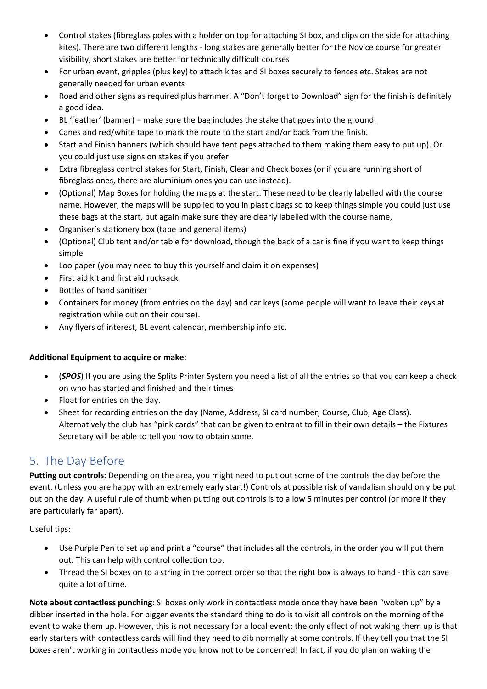- Control stakes (fibreglass poles with a holder on top for attaching SI box, and clips on the side for attaching kites). There are two different lengths - long stakes are generally better for the Novice course for greater visibility, short stakes are better for technically difficult courses
- For urban event, gripples (plus key) to attach kites and SI boxes securely to fences etc. Stakes are not generally needed for urban events
- Road and other signs as required plus hammer. A "Don't forget to Download" sign for the finish is definitely a good idea.
- BL 'feather' (banner) make sure the bag includes the stake that goes into the ground.
- Canes and red/white tape to mark the route to the start and/or back from the finish.
- Start and Finish banners (which should have tent pegs attached to them making them easy to put up). Or you could just use signs on stakes if you prefer
- Extra fibreglass control stakes for Start, Finish, Clear and Check boxes (or if you are running short of fibreglass ones, there are aluminium ones you can use instead).
- (Optional) Map Boxes for holding the maps at the start. These need to be clearly labelled with the course name. However, the maps will be supplied to you in plastic bags so to keep things simple you could just use these bags at the start, but again make sure they are clearly labelled with the course name,
- Organiser's stationery box (tape and general items)
- (Optional) Club tent and/or table for download, though the back of a car is fine if you want to keep things simple
- Loo paper (you may need to buy this yourself and claim it on expenses)
- First aid kit and first aid rucksack
- Bottles of hand sanitiser
- Containers for money (from entries on the day) and car keys (some people will want to leave their keys at registration while out on their course).
- Any flyers of interest, BL event calendar, membership info etc.

#### **Additional Equipment to acquire or make:**

- (*SPOS*) If you are using the Splits Printer System you need a list of all the entries so that you can keep a check on who has started and finished and their times
- Float for entries on the day.
- Sheet for recording entries on the day (Name, Address, SI card number, Course, Club, Age Class). Alternatively the club has "pink cards" that can be given to entrant to fill in their own details – the Fixtures Secretary will be able to tell you how to obtain some.

# <span id="page-5-0"></span>5. The Day Before

**Putting out controls:** Depending on the area, you might need to put out some of the controls the day before the event. (Unless you are happy with an extremely early start!) Controls at possible risk of vandalism should only be put out on the day. A useful rule of thumb when putting out controls is to allow 5 minutes per control (or more if they are particularly far apart).

Useful tips**:**

- Use Purple Pen to set up and print a "course" that includes all the controls, in the order you will put them out. This can help with control collection too.
- Thread the SI boxes on to a string in the correct order so that the right box is always to hand this can save quite a lot of time.

**Note about contactless punching**: SI boxes only work in contactless mode once they have been "woken up" by a dibber inserted in the hole. For bigger events the standard thing to do is to visit all controls on the morning of the event to wake them up. However, this is not necessary for a local event; the only effect of not waking them up is that early starters with contactless cards will find they need to dib normally at some controls. If they tell you that the SI boxes aren't working in contactless mode you know not to be concerned! In fact, if you do plan on waking the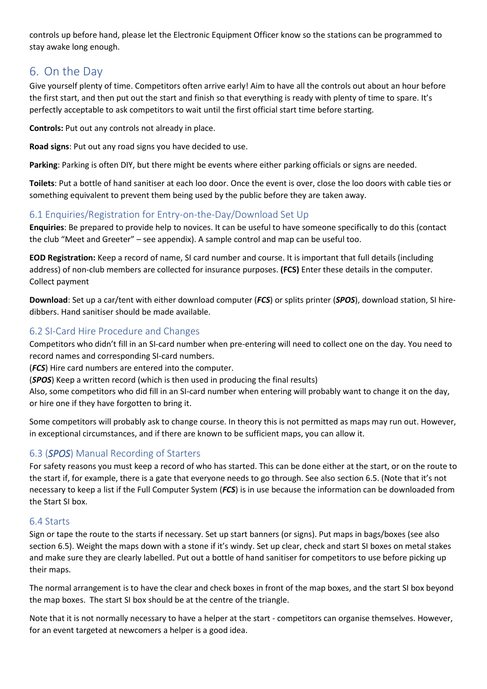controls up before hand, please let the Electronic Equipment Officer know so the stations can be programmed to stay awake long enough.

# <span id="page-6-0"></span>6. On the Day

Give yourself plenty of time. Competitors often arrive early! Aim to have all the controls out about an hour before the first start, and then put out the start and finish so that everything is ready with plenty of time to spare. It's perfectly acceptable to ask competitors to wait until the first official start time before starting.

**Controls:** Put out any controls not already in place.

**Road signs**: Put out any road signs you have decided to use.

**Parking**: Parking is often DIY, but there might be events where either parking officials or signs are needed.

**Toilets**: Put a bottle of hand sanitiser at each loo door. Once the event is over, close the loo doors with cable ties or something equivalent to prevent them being used by the public before they are taken away.

## <span id="page-6-1"></span>6.1 Enquiries/Registration for Entry-on-the-Day/Download Set Up

**Enquiries**: Be prepared to provide help to novices. It can be useful to have someone specifically to do this (contact the club "Meet and Greeter" – see appendix). A sample control and map can be useful too.

**EOD Registration:** Keep a record of name, SI card number and course. It is important that full details (including address) of non-club members are collected for insurance purposes. **(FCS)** Enter these details in the computer. Collect payment

**Download**: Set up a car/tent with either download computer (*FCS*) or splits printer (*SPOS*), download station, SI hiredibbers. Hand sanitiser should be made available.

## <span id="page-6-2"></span>6.2 SI-Card Hire Procedure and Changes

Competitors who didn't fill in an SI-card number when pre-entering will need to collect one on the day. You need to record names and corresponding SI-card numbers.

(*FCS*) Hire card numbers are entered into the computer.

(*SPOS*) Keep a written record (which is then used in producing the final results)

Also, some competitors who did fill in an SI-card number when entering will probably want to change it on the day, or hire one if they have forgotten to bring it.

Some competitors will probably ask to change course. In theory this is not permitted as maps may run out. However, in exceptional circumstances, and if there are known to be sufficient maps, you can allow it.

## <span id="page-6-3"></span>6.3 (*SPOS*) Manual Recording of Starters

For safety reasons you must keep a record of who has started. This can be done either at the start, or on the route to the start if, for example, there is a gate that everyone needs to go through. See also section 6.5. (Note that it's not necessary to keep a list if the Full Computer System (*FCS*) is in use because the information can be downloaded from the Start SI box.

## <span id="page-6-4"></span>6.4 Starts

Sign or tape the route to the starts if necessary. Set up start banners (or signs). Put maps in bags/boxes (see also section 6.5). Weight the maps down with a stone if it's windy. Set up clear, check and start SI boxes on metal stakes and make sure they are clearly labelled. Put out a bottle of hand sanitiser for competitors to use before picking up their maps.

The normal arrangement is to have the clear and check boxes in front of the map boxes, and the start SI box beyond the map boxes. The start SI box should be at the centre of the triangle.

Note that it is not normally necessary to have a helper at the start - competitors can organise themselves. However, for an event targeted at newcomers a helper is a good idea.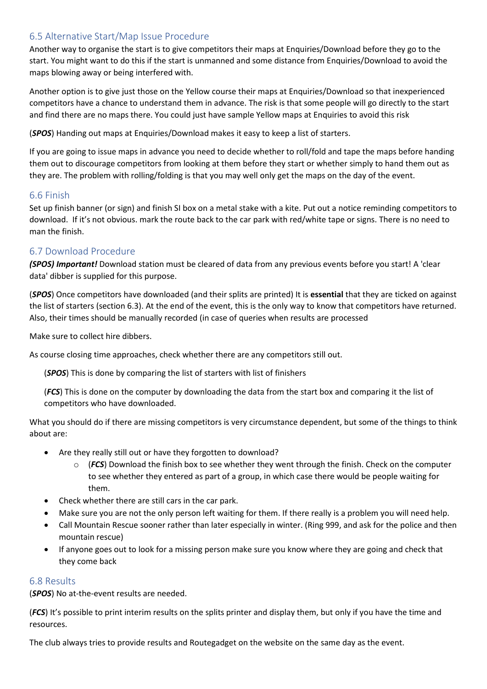### <span id="page-7-0"></span>6.5 Alternative Start/Map Issue Procedure

Another way to organise the start is to give competitors their maps at Enquiries/Download before they go to the start. You might want to do this if the start is unmanned and some distance from Enquiries/Download to avoid the maps blowing away or being interfered with.

Another option is to give just those on the Yellow course their maps at Enquiries/Download so that inexperienced competitors have a chance to understand them in advance. The risk is that some people will go directly to the start and find there are no maps there. You could just have sample Yellow maps at Enquiries to avoid this risk

(*SPOS*) Handing out maps at Enquiries/Download makes it easy to keep a list of starters.

If you are going to issue maps in advance you need to decide whether to roll/fold and tape the maps before handing them out to discourage competitors from looking at them before they start or whether simply to hand them out as they are. The problem with rolling/folding is that you may well only get the maps on the day of the event.

### <span id="page-7-1"></span>6.6 Finish

Set up finish banner (or sign) and finish SI box on a metal stake with a kite. Put out a notice reminding competitors to download. If it's not obvious. mark the route back to the car park with red/white tape or signs. There is no need to man the finish.

## <span id="page-7-2"></span>6.7 Download Procedure

*(SPOS) Important!* Download station must be cleared of data from any previous events before you start! A 'clear data' dibber is supplied for this purpose.

(*SPOS*) Once competitors have downloaded (and their splits are printed) It is **essential** that they are ticked on against the list of starters (section 6.3). At the end of the event, this is the only way to know that competitors have returned. Also, their times should be manually recorded (in case of queries when results are processed

Make sure to collect hire dibbers.

As course closing time approaches, check whether there are any competitors still out.

(*SPOS*) This is done by comparing the list of starters with list of finishers

(*FCS*) This is done on the computer by downloading the data from the start box and comparing it the list of competitors who have downloaded.

What you should do if there are missing competitors is very circumstance dependent, but some of the things to think about are:

- Are they really still out or have they forgotten to download?
	- o (*FCS*) Download the finish box to see whether they went through the finish. Check on the computer to see whether they entered as part of a group, in which case there would be people waiting for them.
- Check whether there are still cars in the car park.
- Make sure you are not the only person left waiting for them. If there really is a problem you will need help.
- Call Mountain Rescue sooner rather than later especially in winter. (Ring 999, and ask for the police and then mountain rescue)
- If anyone goes out to look for a missing person make sure you know where they are going and check that they come back

### <span id="page-7-3"></span>6.8 Results

(*SPOS*) No at-the-event results are needed.

(*FCS*) It's possible to print interim results on the splits printer and display them, but only if you have the time and resources.

The club always tries to provide results and Routegadget on the website on the same day as the event.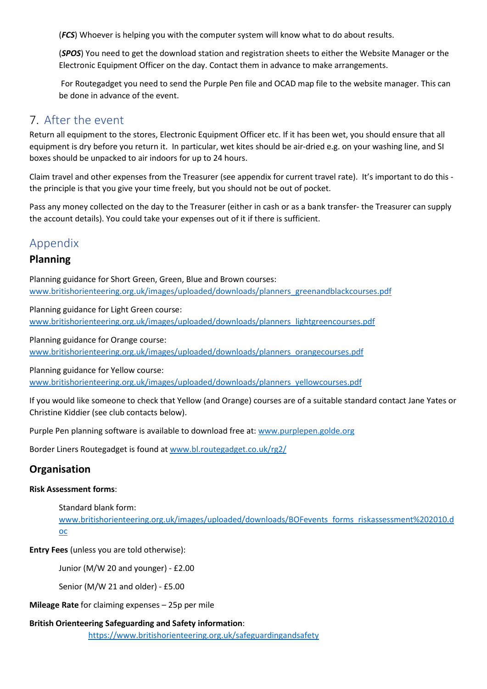(*FCS*) Whoever is helping you with the computer system will know what to do about results.

(*SPOS*) You need to get the download station and registration sheets to either the Website Manager or the Electronic Equipment Officer on the day. Contact them in advance to make arrangements.

For Routegadget you need to send the Purple Pen file and OCAD map file to the website manager. This can be done in advance of the event.

# <span id="page-8-0"></span>7. After the event

Return all equipment to the stores, Electronic Equipment Officer etc. If it has been wet, you should ensure that all equipment is dry before you return it. In particular, wet kites should be air-dried e.g. on your washing line, and SI boxes should be unpacked to air indoors for up to 24 hours.

Claim travel and other expenses from the Treasurer (see appendix for current travel rate). It's important to do this the principle is that you give your time freely, but you should not be out of pocket.

Pass any money collected on the day to the Treasurer (either in cash or as a bank transfer- the Treasurer can supply the account details). You could take your expenses out of it if there is sufficient.

# <span id="page-8-1"></span>Appendix

## **Planning**

Planning guidance for Short Green, Green, Blue and Brown courses: [www.britishorienteering.org.uk/images/uploaded/downloads/planners\\_greenandblackcourses.pdf](http://www.britishorienteering.org.uk/images/uploaded/downloads/planners_greenandblackcourses.pdf)

Planning guidance for Light Green course: [www.britishorienteering.org.uk/images/uploaded/downloads/planners\\_lightgreencourses.pdf](http://www.britishorienteering.org.uk/images/uploaded/downloads/planners_lightgreencourses.pdf)

Planning guidance for Orange course: [www.britishorienteering.org.uk/images/uploaded/downloads/planners\\_orangecourses.pdf](http://www.britishorienteering.org.uk/images/uploaded/downloads/planners_orangecourses.pdf)

Planning guidance for Yellow course:

[www.britishorienteering.org.uk/images/uploaded/downloads/planners\\_yellowcourses.pdf](http://www.britishorienteering.org.uk/images/uploaded/downloads/planners_yellowcourses.pdf)

If you would like someone to check that Yellow (and Orange) courses are of a suitable standard contact Jane Yates or Christine Kiddier (see club contacts below).

Purple Pen planning software is available to download free at[: www.purplepen.golde.org](http://www.purplepen.golde.org/)

Border Liners Routegadget is found at [www.bl.routegadget.co.uk/rg2/](http://www.bl.routegadget.co.uk/rg2/)

## **Organisation**

#### **Risk Assessment forms**:

Standard blank form: [www.britishorienteering.org.uk/images/uploaded/downloads/BOFevents\\_forms\\_riskassessment%202010.d](http://www.britishorienteering.org.uk/images/uploaded/downloads/BOFevents_forms_riskassessment%202010.doc) [oc](http://www.britishorienteering.org.uk/images/uploaded/downloads/BOFevents_forms_riskassessment%202010.doc)

**Entry Fees** (unless you are told otherwise):

Junior (M/W 20 and younger) - £2.00

Senior (M/W 21 and older) - £5.00

**Mileage Rate** for claiming expenses – 25p per mile

## **British Orienteering Safeguarding and Safety information**:

<https://www.britishorienteering.org.uk/safeguardingandsafety>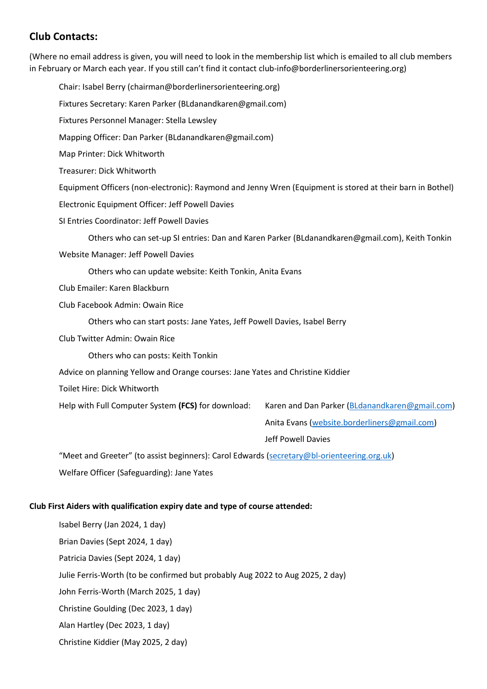## **Club Contacts:**

(Where no email address is given, you will need to look in the membership list which is emailed to all club members in February or March each year. If you still can't find it contact club-info@borderlinersorienteering.org)

Chair: Isabel Berry (chairman@borderlinersorienteering.org) Fixtures Secretary: Karen Parker (BLdanandkaren@gmail.com) Fixtures Personnel Manager: Stella Lewsley Mapping Officer: Dan Parker (BLdanandkaren@gmail.com) Map Printer: Dick Whitworth Treasurer: Dick Whitworth Equipment Officers (non-electronic): Raymond and Jenny Wren (Equipment is stored at their barn in Bothel) Electronic Equipment Officer: Jeff Powell Davies SI Entries Coordinator: Jeff Powell Davies Others who can set-up SI entries: Dan and Karen Parker (BLdanandkaren@gmail.com), Keith Tonkin Website Manager: Jeff Powell Davies Others who can update website: Keith Tonkin, Anita Evans Club Emailer: Karen Blackburn Club Facebook Admin: Owain Rice Others who can start posts: Jane Yates, Jeff Powell Davies, Isabel Berry Club Twitter Admin: Owain Rice Others who can posts: Keith Tonkin Advice on planning Yellow and Orange courses: Jane Yates and Christine Kiddier Toilet Hire: Dick Whitworth Help with Full Computer System **(FCS)** for download: Karen and Dan Parker [\(BLdanandkaren@gmail.com\)](mailto:BLdanandkaren@gmail.com) Anita Evans [\(website.borderliners@gmail.com\)](mailto:website.borderliners@gmail.com) Jeff Powell Davies "Meet and Greeter" (to assist beginners): Carol Edwards [\(secretary@bl-orienteering.org.uk\)](mailto:secretary@bl-orienteering.org.uk) Welfare Officer (Safeguarding): Jane Yates **Club First Aiders with qualification expiry date and type of course attended:**

Isabel Berry (Jan 2024, 1 day) Brian Davies (Sept 2024, 1 day) Patricia Davies (Sept 2024, 1 day) Julie Ferris-Worth (to be confirmed but probably Aug 2022 to Aug 2025, 2 day) John Ferris-Worth (March 2025, 1 day) Christine Goulding (Dec 2023, 1 day) Alan Hartley (Dec 2023, 1 day) Christine Kiddier (May 2025, 2 day)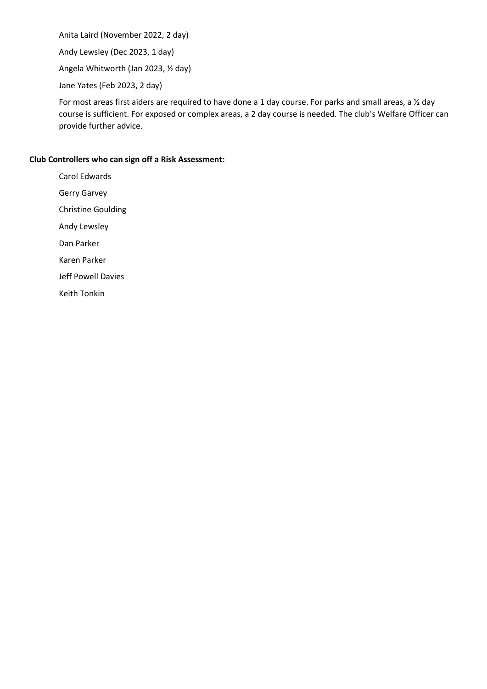Anita Laird (November 2022, 2 day)

Andy Lewsley (Dec 2023, 1 day)

Angela Whitworth (Jan 2023, ½ day)

Jane Yates (Feb 2023, 2 day)

For most areas first aiders are required to have done a 1 day course. For parks and small areas, a ½ day course is sufficient. For exposed or complex areas, a 2 day course is needed. The club's Welfare Officer can provide further advice.

#### **Club Controllers who can sign off a Risk Assessment:**

Carol Edwards Gerry Garvey Christine Goulding Andy Lewsley Dan Parker Karen Parker Jeff Powell Davies Keith Tonkin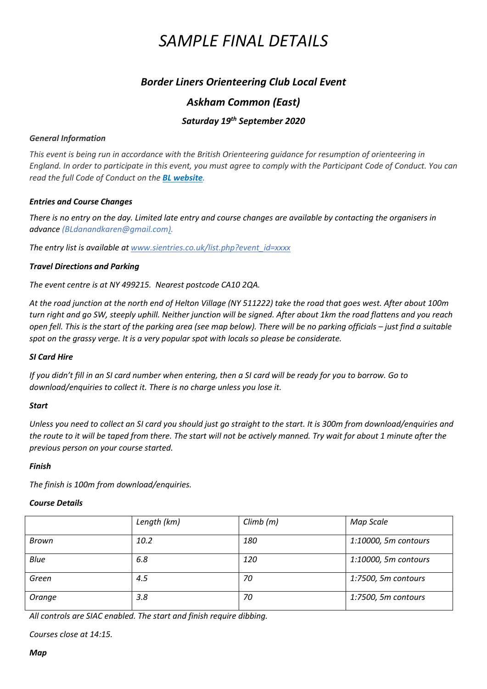# *SAMPLE FINAL DETAILS*

## *Border Liners Orienteering Club Local Event*

## *Askham Common (East)*

## *Saturday 19th September 2020*

#### *General Information*

*This event is being run in accordance with the British Orienteering guidance for resumption of orienteering in England. In order to participate in this event, you must agree to comply with the Participant Code of Conduct. You can read the full Code of Conduct on the BL website.*

#### *Entries and Course Changes*

*There is no entry on the day. Limited late entry and course changes are available by contacting the organisers in advance (BLdanandkaren@gmail.com).*

*The entry list is available at www.sientries.co.uk/list.php?event\_id=xxxx*

#### *Travel Directions and Parking*

*The event centre is at NY 499215. Nearest postcode CA10 2QA.*

*At the road junction at the north end of Helton Village (NY 511222) take the road that goes west. After about 100m turn right and go SW, steeply uphill. Neither junction will be signed. After about 1km the road flattens and you reach open fell. This is the start of the parking area (see map below). There will be no parking officials – just find a suitable spot on the grassy verge. It is a very popular spot with locals so please be considerate.*

#### *SI Card Hire*

*If you didn't fill in an SI card number when entering, then a SI card will be ready for you to borrow. Go to download/enquiries to collect it. There is no charge unless you lose it.*

#### *Start*

*Unless you need to collect an SI card you should just go straight to the start. It is 300m from download/enquiries and the route to it will be taped from there. The start will not be actively manned. Try wait for about 1 minute after the previous person on your course started.* 

#### *Finish*

*The finish is 100m from download/enquiries.*

#### *Course Details*

|             | Length (km) | Climb(m) | Map Scale            |
|-------------|-------------|----------|----------------------|
| Brown       | 10.2        | 180      | 1:10000, 5m contours |
| <b>Blue</b> | 6.8         | 120      | 1:10000, 5m contours |
| Green       | 4.5         | 70       | 1:7500, 5m contours  |
| Orange      | 3.8         | 70       | 1:7500, 5m contours  |

*All controls are SIAC enabled. The start and finish require dibbing.*

*Courses close at 14:15.*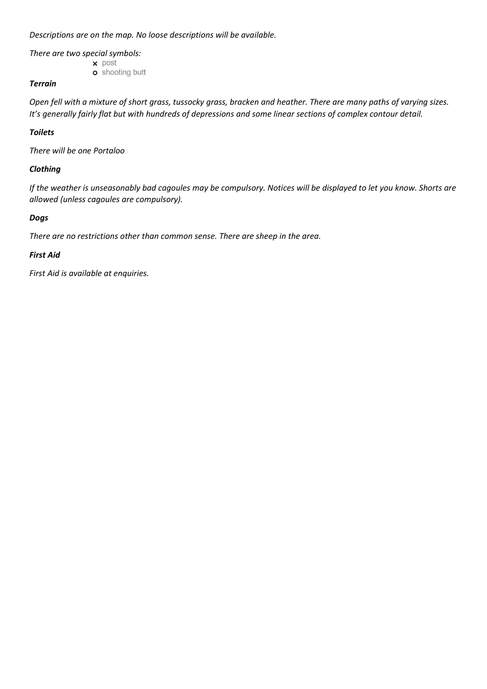*Descriptions are on the map. No loose descriptions will be available.*

*There are two special symbols:*

 $\times$  post **o** shooting butt

#### *Terrain*

*Open fell with a mixture of short grass, tussocky grass, bracken and heather. There are many paths of varying sizes. It's generally fairly flat but with hundreds of depressions and some linear sections of complex contour detail.*

#### *Toilets*

*There will be one Portaloo*

#### *Clothing*

*If the weather is unseasonably bad cagoules may be compulsory. Notices will be displayed to let you know. Shorts are allowed (unless cagoules are compulsory).*

#### *Dogs*

*There are no restrictions other than common sense. There are sheep in the area.*

#### *First Aid*

*First Aid is available at enquiries.*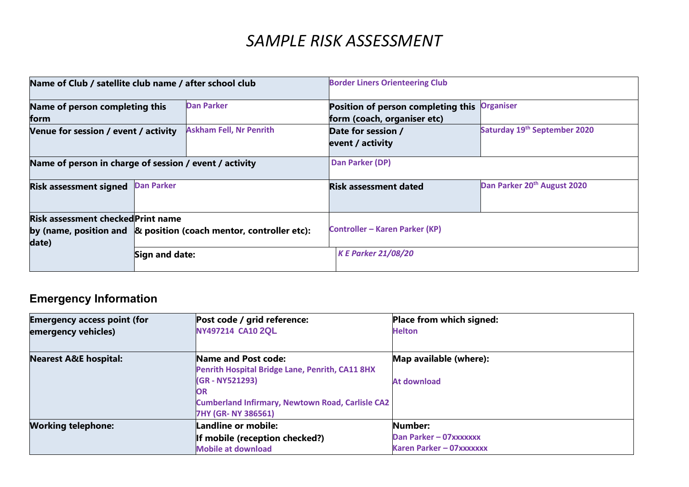# *SAMPLE RISK ASSESSMENT*

| Name of Club / satellite club name / after school club                                                                         |                   |                                       | <b>Border Liners Orienteering Club</b>                            |                                          |
|--------------------------------------------------------------------------------------------------------------------------------|-------------------|---------------------------------------|-------------------------------------------------------------------|------------------------------------------|
| Name of person completing this<br>form                                                                                         |                   | <b>Dan Parker</b>                     | Position of person completing this<br>form (coach, organiser etc) | <b>Organiser</b>                         |
| Venue for session / event / activity                                                                                           |                   | <b>Askham Fell, Nr Penrith</b>        | Date for session /<br>event / activity                            | Saturday 19 <sup>th</sup> September 2020 |
| Name of person in charge of session / event / activity                                                                         |                   | Dan Parker (DP)                       |                                                                   |                                          |
| <b>Risk assessment signed</b>                                                                                                  | <b>Dan Parker</b> |                                       | <b>Risk assessment dated</b>                                      | Dan Parker 20 <sup>th</sup> August 2020  |
| <b>Risk assessment checked Print name</b><br>by (name, position and $\alpha$ position (coach mentor, controller etc):<br>date) |                   | <b>Controller - Karen Parker (KP)</b> |                                                                   |                                          |
|                                                                                                                                | Sign and date:    |                                       | <b>K E Parker 21/08/20</b>                                        |                                          |

# **Emergency Information**

| <b>Emergency access point (for</b><br>emergency vehicles) | Post code / grid reference:<br>NY497214 CA10 2QL        | Place from which signed:<br><b>Helton</b> |
|-----------------------------------------------------------|---------------------------------------------------------|-------------------------------------------|
|                                                           |                                                         |                                           |
| <b>Nearest A&amp;E hospital:</b>                          | Name and Post code:                                     | Map available (where):                    |
|                                                           | Penrith Hospital Bridge Lane, Penrith, CA11 8HX         |                                           |
|                                                           | (GR - NY521293)                                         | At download                               |
|                                                           | <b>IOR</b>                                              |                                           |
|                                                           | <b>Cumberland Infirmary, Newtown Road, Carlisle CA2</b> |                                           |
|                                                           | 7HY (GR-NY 386561)                                      |                                           |
| <b>Working telephone:</b>                                 | Landline or mobile:                                     | Number:                                   |
|                                                           | If mobile (reception checked?)                          | Dan Parker - 07xxxxxxx                    |
|                                                           | <b>Mobile at download</b>                               | Karen Parker - 07xxxxxxx                  |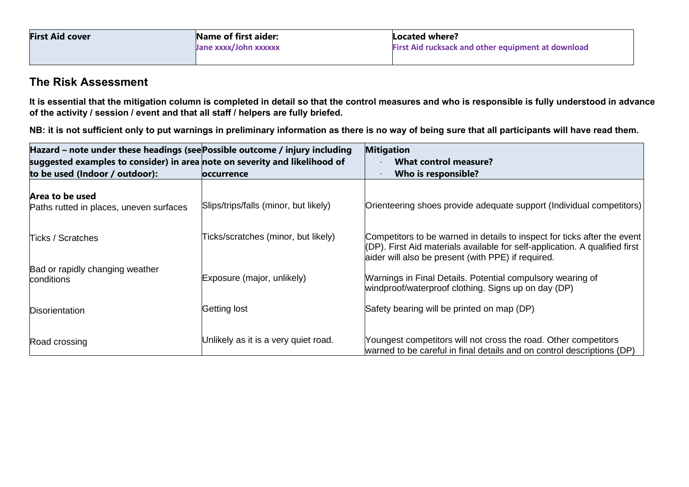| <b>First Aid cover</b> | Name of first aider:  | Located where?                                     |  |
|------------------------|-----------------------|----------------------------------------------------|--|
|                        | Jane xxxx/John xxxxxx | First Aid rucksack and other equipment at download |  |
|                        |                       |                                                    |  |

## **The Risk Assessment**

**It is essential that the mitigation column is completed in detail so that the control measures and who is responsible is fully understood in advance of the activity / session / event and that all staff / helpers are fully briefed.**

**NB: it is not sufficient only to put warnings in preliminary information as there is no way of being sure that all participants will have read them.**

| Hazard – note under these headings (see Possible outcome / injury including<br>suggested examples to consider) in area note on severity and likelihood of |                                       | <b>Mitigation</b><br><b>What control measure?</b>                                                                                                                                                             |
|-----------------------------------------------------------------------------------------------------------------------------------------------------------|---------------------------------------|---------------------------------------------------------------------------------------------------------------------------------------------------------------------------------------------------------------|
| to be used (Indoor / outdoor):                                                                                                                            | <b>loccurrence</b>                    | Who is responsible?                                                                                                                                                                                           |
| Area to be used<br>Paths rutted in places, uneven surfaces                                                                                                | Slips/trips/falls (minor, but likely) | Orienteering shoes provide adequate support (Individual competitors)                                                                                                                                          |
| Ticks / Scratches                                                                                                                                         | Ticks/scratches (minor, but likely)   | Competitors to be warned in details to inspect for ticks after the event<br>(DP). First Aid materials available for self-application. A qualified first<br>aider will also be present (with PPE) if required. |
| Bad or rapidly changing weather<br>conditions                                                                                                             | Exposure (major, unlikely)            | Warnings in Final Details. Potential compulsory wearing of<br>windproof/waterproof clothing. Signs up on day (DP)                                                                                             |
| <b>Disorientation</b>                                                                                                                                     | Getting lost                          | Safety bearing will be printed on map (DP)                                                                                                                                                                    |
| Road crossing                                                                                                                                             | Unlikely as it is a very quiet road.  | Youngest competitors will not cross the road. Other competitors<br>warned to be careful in final details and on control descriptions (DP)                                                                     |